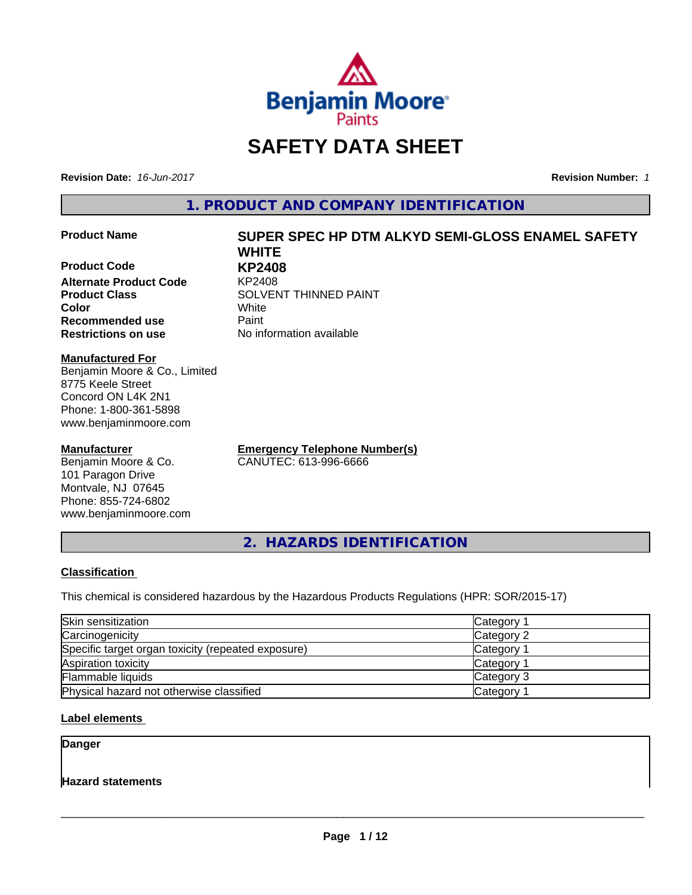

# **SAFETY DATA SHEET**

**Revision Date:** *16-Jun-2017* **Revision Number:** *1*

**1. PRODUCT AND COMPANY IDENTIFICATION**

**Product Code KP2408 Alternate Product Code Recommended use Caint** 

# **Product Name SUPER SPEC HP DTM ALKYD SEMI-GLOSS ENAMEL SAFETY WHITE**

**Product Class SOLVENT THINNED PAINT Color** White **Restrictions on use** No information available

**Manufactured For** Benjamin Moore & Co., Limited 8775 Keele Street Concord ON L4K 2N1 Phone: 1-800-361-5898 www.benjaminmoore.com

# **Manufacturer**

Benjamin Moore & Co. 101 Paragon Drive Montvale, NJ 07645 Phone: 855-724-6802 www.benjaminmoore.com

**Emergency Telephone Number(s)** CANUTEC: 613-996-6666

**2. HAZARDS IDENTIFICATION**

# **Classification**

This chemical is considered hazardous by the Hazardous Products Regulations (HPR: SOR/2015-17)

| Skin sensitization                                 | Category              |
|----------------------------------------------------|-----------------------|
| Carcinogenicity                                    | Category 2            |
| Specific target organ toxicity (repeated exposure) | Category <sup>2</sup> |
| Aspiration toxicity                                | Category              |
| Flammable liquids                                  | Category 3            |
| Physical hazard not otherwise classified           | Category <sup>2</sup> |

# **Label elements**

**Danger**

# **Hazard statements**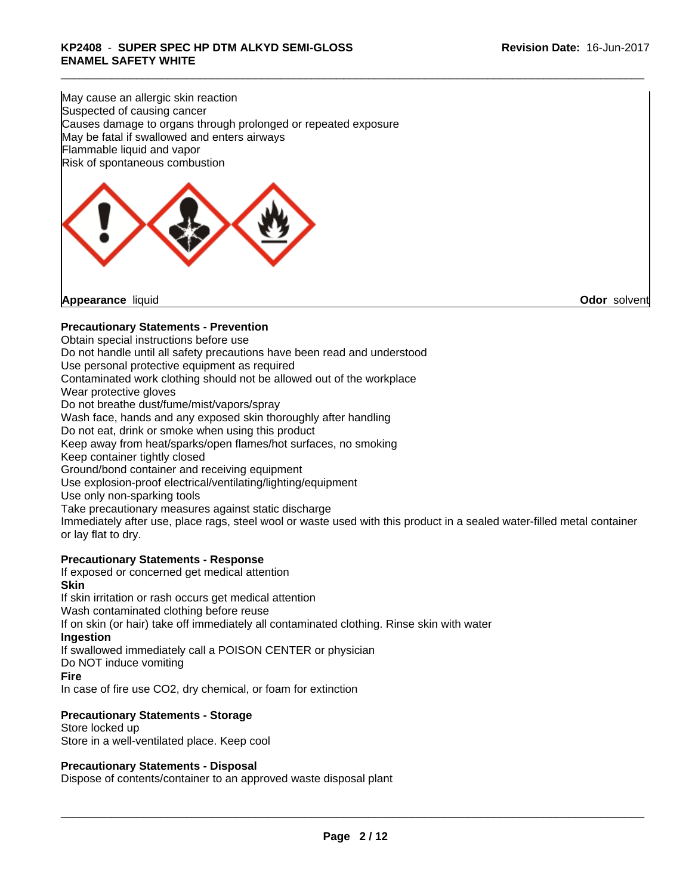# \_\_\_\_\_\_\_\_\_\_\_\_\_\_\_\_\_\_\_\_\_\_\_\_\_\_\_\_\_\_\_\_\_\_\_\_\_\_\_\_\_\_\_\_\_\_\_\_\_\_\_\_\_\_\_\_\_\_\_\_\_\_\_\_\_\_\_\_\_\_\_\_\_\_\_\_\_\_\_\_\_\_\_\_\_\_\_\_\_\_\_\_\_ **KP2408** - **SUPER SPEC HP DTM ALKYD SEMI-GLOSS ENAMEL SAFETY WHITE**

May cause an allergic skin reaction Suspected of causing cancer Causes damage to organs through prolonged or repeated exposure May be fatal if swallowed and enters airways Flammable liquid and vapor Risk of spontaneous combustion



**Appearance** liquid **Odor** solvent

# **Precautionary Statements - Prevention**

Obtain special instructions before use Do not handle until all safety precautions have been read and understood Use personal protective equipment as required Contaminated work clothing should not be allowed out of the workplace Wear protective gloves Do not breathe dust/fume/mist/vapors/spray Wash face, hands and any exposed skin thoroughly after handling Do not eat, drink or smoke when using this product Keep away from heat/sparks/open flames/hot surfaces, no smoking Keep container tightly closed Ground/bond container and receiving equipment Use explosion-proof electrical/ventilating/lighting/equipment Use only non-sparking tools Take precautionary measures against static discharge Immediately after use, place rags, steel wool or waste used with this product in a sealed water-filled metal container or lay flat to dry.

# **Precautionary Statements - Response**

If exposed or concerned get medical attention **Skin** If skin irritation or rash occurs get medical attention Wash contaminated clothing before reuse If on skin (or hair) take off immediately all contaminated clothing. Rinse skin with water **Ingestion** If swallowed immediately call a POISON CENTER or physician Do NOT induce vomiting **Fire**

In case of fire use CO2, dry chemical, or foam for extinction

# **Precautionary Statements - Storage**

Store locked up Store in a well-ventilated place. Keep cool

# **Precautionary Statements - Disposal**

Dispose of contents/container to an approved waste disposal plant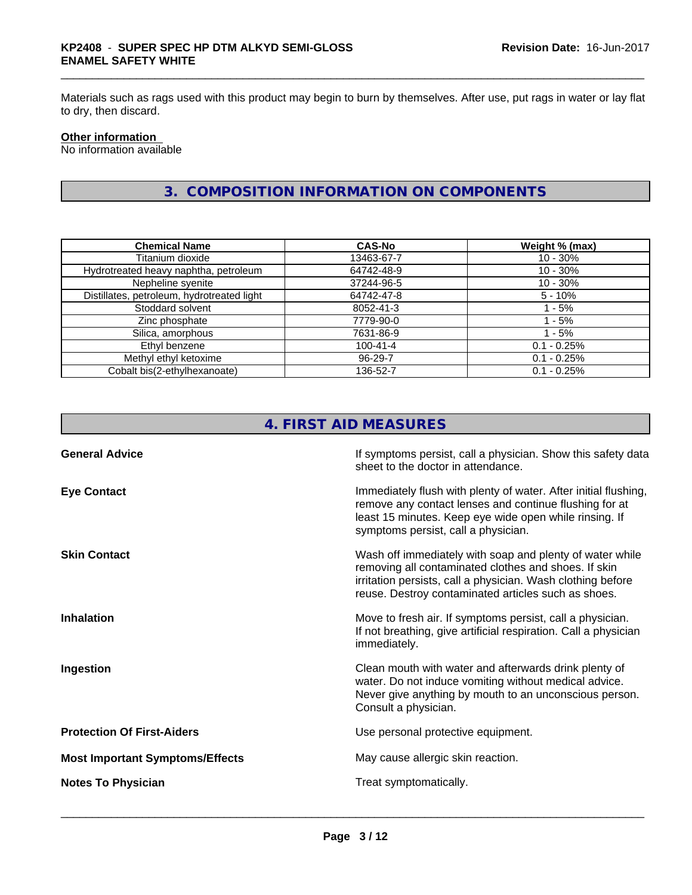Materials such as rags used with this product may begin to burn by themselves. After use, put rags in water or lay flat to dry, then discard.

# **Other information**

No information available

# **3. COMPOSITION INFORMATION ON COMPONENTS**

| <b>Chemical Name</b>                       | <b>CAS-No</b>  | Weight % (max) |
|--------------------------------------------|----------------|----------------|
| Titanium dioxide                           | 13463-67-7     | $10 - 30\%$    |
| Hydrotreated heavy naphtha, petroleum      | 64742-48-9     | $10 - 30\%$    |
| Nepheline syenite                          | 37244-96-5     | $10 - 30\%$    |
| Distillates, petroleum, hydrotreated light | 64742-47-8     | $5 - 10%$      |
| Stoddard solvent                           | 8052-41-3      | - 5%           |
| Zinc phosphate                             | 7779-90-0      | 1 - 5%         |
| Silica, amorphous                          | 7631-86-9      | - 5%           |
| Ethyl benzene                              | $100 - 41 - 4$ | $0.1 - 0.25%$  |
| Methyl ethyl ketoxime                      | 96-29-7        | $0.1 - 0.25%$  |
| Cobalt bis(2-ethylhexanoate)               | 136-52-7       | $0.1 - 0.25%$  |

| 4. FIRST AID MEASURES                  |                                                                                                                                                                                                                                        |  |
|----------------------------------------|----------------------------------------------------------------------------------------------------------------------------------------------------------------------------------------------------------------------------------------|--|
| <b>General Advice</b>                  | If symptoms persist, call a physician. Show this safety data<br>sheet to the doctor in attendance.                                                                                                                                     |  |
| <b>Eye Contact</b>                     | Immediately flush with plenty of water. After initial flushing,<br>remove any contact lenses and continue flushing for at<br>least 15 minutes. Keep eye wide open while rinsing. If<br>symptoms persist, call a physician.             |  |
| <b>Skin Contact</b>                    | Wash off immediately with soap and plenty of water while<br>removing all contaminated clothes and shoes. If skin<br>irritation persists, call a physician. Wash clothing before<br>reuse. Destroy contaminated articles such as shoes. |  |
| <b>Inhalation</b>                      | Move to fresh air. If symptoms persist, call a physician.<br>If not breathing, give artificial respiration. Call a physician<br>immediately.                                                                                           |  |
| Ingestion                              | Clean mouth with water and afterwards drink plenty of<br>water. Do not induce vomiting without medical advice.<br>Never give anything by mouth to an unconscious person.<br>Consult a physician.                                       |  |
| <b>Protection Of First-Aiders</b>      | Use personal protective equipment.                                                                                                                                                                                                     |  |
| <b>Most Important Symptoms/Effects</b> | May cause allergic skin reaction.                                                                                                                                                                                                      |  |
| <b>Notes To Physician</b>              | Treat symptomatically.                                                                                                                                                                                                                 |  |
|                                        |                                                                                                                                                                                                                                        |  |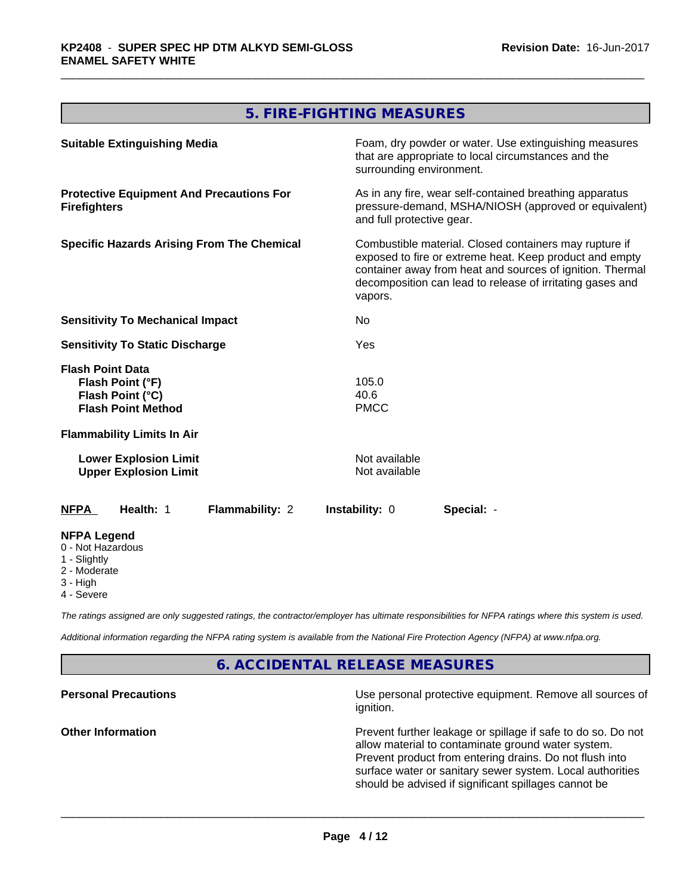# **5. FIRE-FIGHTING MEASURES**

| <b>Suitable Extinguishing Media</b>                                                          | Foam, dry powder or water. Use extinguishing measures<br>that are appropriate to local circumstances and the<br>surrounding environment.                                                                                                                            |  |  |  |
|----------------------------------------------------------------------------------------------|---------------------------------------------------------------------------------------------------------------------------------------------------------------------------------------------------------------------------------------------------------------------|--|--|--|
| <b>Protective Equipment And Precautions For</b><br><b>Firefighters</b>                       | As in any fire, wear self-contained breathing apparatus<br>pressure-demand, MSHA/NIOSH (approved or equivalent)<br>and full protective gear.                                                                                                                        |  |  |  |
| <b>Specific Hazards Arising From The Chemical</b>                                            | Combustible material. Closed containers may rupture if<br>exposed to fire or extreme heat. Keep product and empty<br>container away from heat and sources of ignition. Thermal<br>decomposition can lead to release of irritating gases and<br>vapors.<br>No<br>Yes |  |  |  |
| <b>Sensitivity To Mechanical Impact</b>                                                      |                                                                                                                                                                                                                                                                     |  |  |  |
| <b>Sensitivity To Static Discharge</b>                                                       |                                                                                                                                                                                                                                                                     |  |  |  |
| <b>Flash Point Data</b><br>Flash Point (°F)<br>Flash Point (°C)<br><b>Flash Point Method</b> | 105.0<br>40.6<br><b>PMCC</b>                                                                                                                                                                                                                                        |  |  |  |
| <b>Flammability Limits In Air</b>                                                            |                                                                                                                                                                                                                                                                     |  |  |  |
| <b>Lower Explosion Limit</b><br><b>Upper Explosion Limit</b>                                 | Not available<br>Not available                                                                                                                                                                                                                                      |  |  |  |
| Health: 1<br><b>Flammability: 2</b><br>NFPA                                                  | Instability: 0<br>Special: -                                                                                                                                                                                                                                        |  |  |  |
| <b>NFPA Legend</b><br>0 - Not Hazardous<br>1 - Slightly<br>2 - Moderate<br>3 - High          |                                                                                                                                                                                                                                                                     |  |  |  |

4 - Severe

*The ratings assigned are only suggested ratings, the contractor/employer has ultimate responsibilities for NFPA ratings where this system is used.*

*Additional information regarding the NFPA rating system is available from the National Fire Protection Agency (NFPA) at www.nfpa.org.*

# **6. ACCIDENTAL RELEASE MEASURES**

**Personal Precautions Personal protective equipment. Remove all sources of** Use personal protective equipment. Remove all sources of ignition.

**Other Information Discription** Prevent further leakage or spillage if safe to do so. Do not allow material to contaminate ground water system. Prevent product from entering drains. Do not flush into surface water or sanitary sewer system. Local authorities should be advised if significant spillages cannot be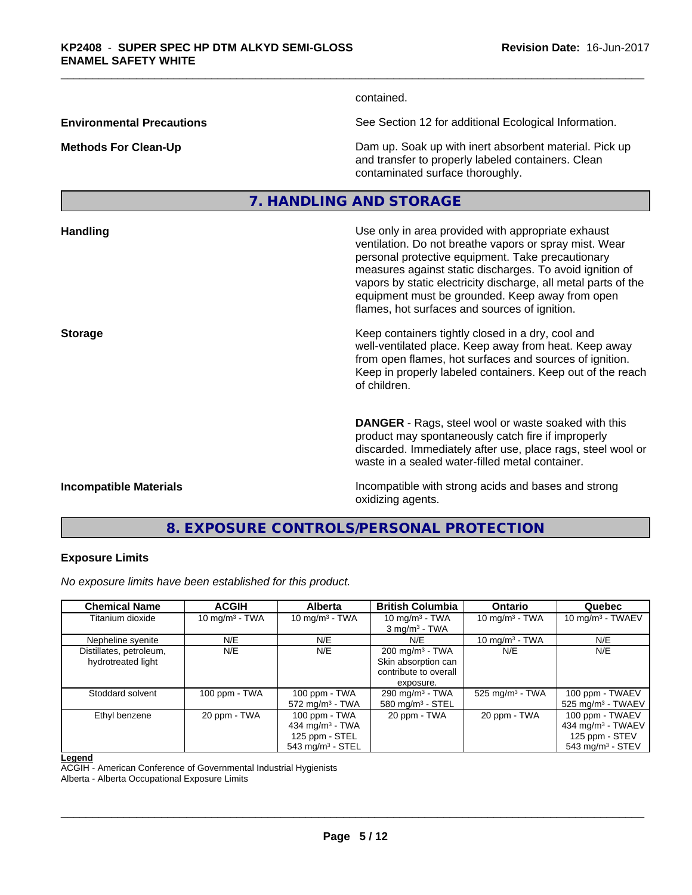contained. **Environmental Precautions** See Section 12 for additional Ecological Information. **Methods For Clean-Up Clean-Up Example 20 Inc. Soak up with inert absorbent material. Pick up** and transfer to properly labeled containers. Clean contaminated surface thoroughly. **7. HANDLING AND STORAGE Handling Handling Example 20 Use only in area provided with appropriate exhaust** ventilation. Do not breathe vapors or spray mist. Wear personal protective equipment. Take precautionary measures against static discharges. To avoid ignition of vapors by static electricity discharge, all metal parts of the equipment must be grounded. Keep away from open flames, hot surfaces and sources of ignition. **Storage Keep containers tightly closed in a dry, cool and get a dry and storage in a dry, cool and structure in a dry and structure in a dry and structure in a dry and structure in a dry and structure in a dry and struc** well-ventilated place. Keep away from heat. Keep away from open flames, hot surfaces and sources of ignition. Keep in properly labeled containers. Keep out of the reach of children. **DANGER** - Rags, steel wool or waste soaked with this product may spontaneously catch fire if improperly discarded. Immediately after use, place rags, steel wool or waste in a sealed water-filled metal container.

**Incompatible Materials Incompatible with strong acids and bases and strong** oxidizing agents.

# **8. EXPOSURE CONTROLS/PERSONAL PROTECTION**

# **Exposure Limits**

*No exposure limits have been established for this product.*

| <b>Chemical Name</b>    | <b>ACGIH</b>              | <b>Alberta</b>                 | <b>British Columbia</b>    | <b>Ontario</b>              | Quebec                         |
|-------------------------|---------------------------|--------------------------------|----------------------------|-----------------------------|--------------------------------|
| Titanium dioxide        | $10 \text{ mg/m}^3$ - TWA | $10 \text{ mg/m}^3$ - TWA      | 10 $mq/m3$ - TWA           | 10 mg/m $3$ - TWA           | 10 mg/m $3$ - TWAEV            |
|                         |                           |                                | $3 \text{ mg/m}^3$ - TWA   |                             |                                |
| Nepheline syenite       | N/E                       | N/E                            | N/E                        | 10 mg/m $3$ - TWA           | N/E                            |
| Distillates, petroleum, | N/E                       | N/E                            | $200 \text{ mg/m}^3$ - TWA | N/E                         | N/E                            |
| hydrotreated light      |                           |                                | Skin absorption can        |                             |                                |
|                         |                           |                                | contribute to overall      |                             |                                |
|                         |                           |                                | exposure.                  |                             |                                |
| Stoddard solvent        | 100 ppm - TWA             | 100 ppm - TWA                  | $290 \text{ mg/m}^3$ - TWA | 525 mg/m <sup>3</sup> - TWA | 100 ppm - TWAEV                |
|                         |                           | $572 \text{ mg/m}^3$ - TWA     | 580 mg/m $3 -$ STEL        |                             | $525 \text{ mg/m}^3$ - TWAEV   |
| Ethyl benzene           | 20 ppm - TWA              | 100 ppm - TWA                  | 20 ppm - TWA               | 20 ppm - TWA                | 100 ppm - TWAEV                |
|                         |                           | 434 mg/m <sup>3</sup> - TWA    |                            |                             | 434 mg/m <sup>3</sup> - TWAEV  |
|                         |                           | 125 ppm - STEL                 |                            |                             | 125 ppm - STEV                 |
|                         |                           | $543$ mg/m <sup>3</sup> - STEL |                            |                             | $543$ mg/m <sup>3</sup> - STEV |

### **Legend**

ACGIH - American Conference of Governmental Industrial Hygienists

Alberta - Alberta Occupational Exposure Limits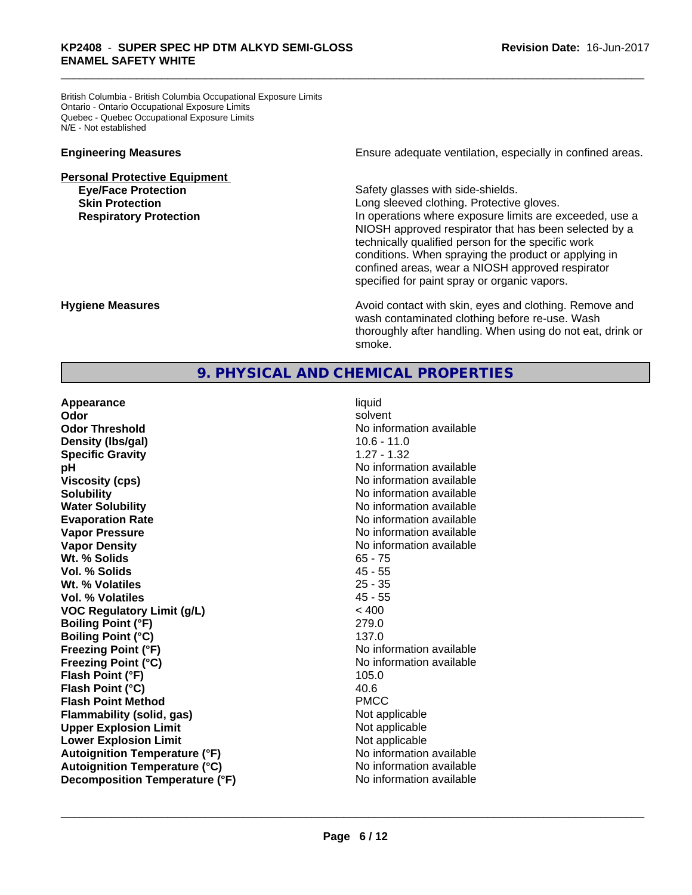British Columbia - British Columbia Occupational Exposure Limits Ontario - Ontario Occupational Exposure Limits Quebec - Quebec Occupational Exposure Limits N/E - Not established

# **Personal Protective Equipment**

**Engineering Measures Ensure adequate ventilation, especially in confined areas.** 

**Eye/Face Protection Safety glasses with side-shields. Skin Protection Skin Protection Long sleeved clothing. Protective gloves. Respiratory Protection In operations where exposure limits are exceeded, use a** local protection NIOSH approved respirator that has been selected by a technically qualified person for the specific work conditions. When spraying the product or applying in confined areas, wear a NIOSH approved respirator specified for paint spray or organic vapors.

**Hygiene Measures Avoid contact with skin, eyes and clothing. Remove and Avoid contact with skin, eyes and clothing. Remove and Avoid contact with skin, eyes and clothing. Remove and** wash contaminated clothing before re-use. Wash thoroughly after handling. When using do not eat, drink or smoke.

# **9. PHYSICAL AND CHEMICAL PROPERTIES**

**Appearance** liquid **Odor** solvent **Odor Threshold**<br> **Density (Ibs/gal)**<br> **Density (Ibs/gal)**<br> **No information available**<br>  $10.6 - 11.0$ **Density (lbs/gal) Specific Gravity** 1.27 - 1.32 **pH pH**  $\blacksquare$ **Viscosity (cps)** No information available **Solubility Note 2008 Note 2008 Note 2008 Note 2008 Note 2008 Note 2008 Note 2008 Note 2009 Note 2009 Note 2009 Note 2009 Note 2009 Note 2009 Note 2009 Note 2009 Note 2009 Note 2009 Note Water Solubility** No information available **Evaporation Rate No information available No information available Vapor Pressure** No information available in the North American Monte available in the North American available **Vapor Density**<br> **We Solids**<br>
We Solids
2019 **Wt. % Solids** 65 - 75 **Vol. % Solids** 45 - 55 **Wt. % Volatiles** 25 - 35 **Vol. % Volatiles VOC Regulatory Limit (g/L)** < 400 **Boiling Point (°F)** 279.0 **Boiling Point (°C)** 137.0 **Freezing Point (°F)** No information available **Freezing Point (°C)** The state of the Monometer of Noinformation available **Flash Point (°F)** 105.0 **Flash Point (°C)** 40.6 **Flash Point Method** PMCC **Flammability** (solid, gas) **Upper Explosion Limit** Not applicable **Lower Explosion Limit**<br> **Autoignition Temperature (°F)**<br> **Autoignition Temperature (°F)**<br> **Autoignition Temperature (°F)**<br> **Autoignition Temperature (°F) Autoignition Temperature (°F) Autoignition Temperature (°C)** No information available **Decomposition Temperature (°F)** No information available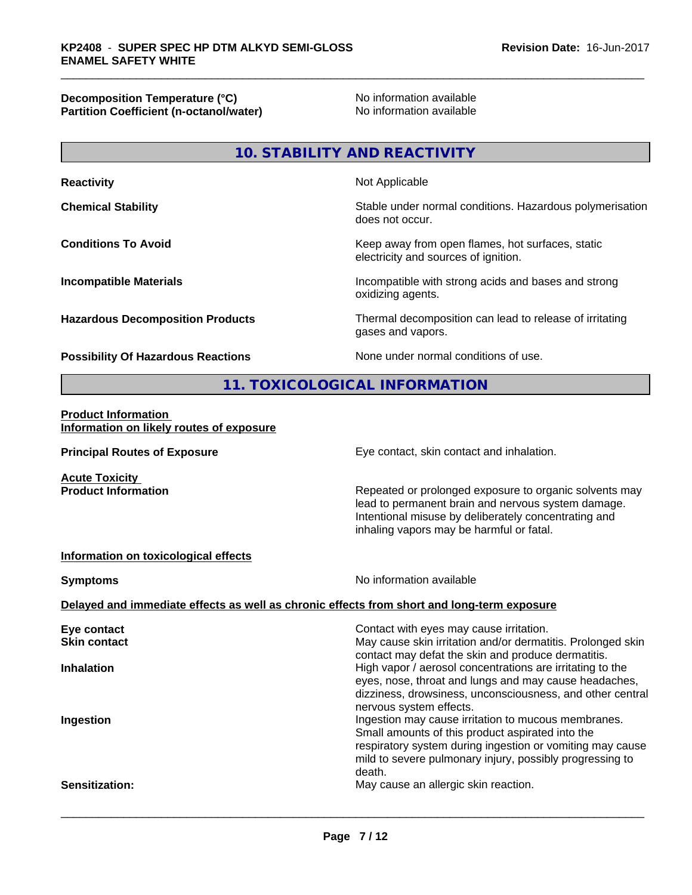**Decomposition Temperature (°C)**<br> **Partition Coefficient (n-octanol/water)** No information available **Partition Coefficient (n-octanol/water)** 

# **10. STABILITY AND REACTIVITY**

| <b>Reactivity</b>                         | Not Applicable                                                                           |
|-------------------------------------------|------------------------------------------------------------------------------------------|
| <b>Chemical Stability</b>                 | Stable under normal conditions. Hazardous polymerisation<br>does not occur.              |
| <b>Conditions To Avoid</b>                | Keep away from open flames, hot surfaces, static<br>electricity and sources of ignition. |
| <b>Incompatible Materials</b>             | Incompatible with strong acids and bases and strong<br>oxidizing agents.                 |
| <b>Hazardous Decomposition Products</b>   | Thermal decomposition can lead to release of irritating<br>gases and vapors.             |
| <b>Possibility Of Hazardous Reactions</b> | None under normal conditions of use.                                                     |

**11. TOXICOLOGICAL INFORMATION**

# **Product Information Information on likely routes of exposure**

| <b>Principal Routes of Exposure</b>                                                        | Eye contact, skin contact and inhalation.                                                                                                                                                                                                                                                                                                                                                                                                                                                                                                          |
|--------------------------------------------------------------------------------------------|----------------------------------------------------------------------------------------------------------------------------------------------------------------------------------------------------------------------------------------------------------------------------------------------------------------------------------------------------------------------------------------------------------------------------------------------------------------------------------------------------------------------------------------------------|
| <b>Acute Toxicity</b><br><b>Product Information</b>                                        | Repeated or prolonged exposure to organic solvents may<br>lead to permanent brain and nervous system damage.<br>Intentional misuse by deliberately concentrating and<br>inhaling vapors may be harmful or fatal.                                                                                                                                                                                                                                                                                                                                   |
| Information on toxicological effects                                                       |                                                                                                                                                                                                                                                                                                                                                                                                                                                                                                                                                    |
| <b>Symptoms</b>                                                                            | No information available                                                                                                                                                                                                                                                                                                                                                                                                                                                                                                                           |
| Delayed and immediate effects as well as chronic effects from short and long-term exposure |                                                                                                                                                                                                                                                                                                                                                                                                                                                                                                                                                    |
| Eye contact<br><b>Skin contact</b><br><b>Inhalation</b><br>Ingestion                       | Contact with eyes may cause irritation.<br>May cause skin irritation and/or dermatitis. Prolonged skin<br>contact may defat the skin and produce dermatitis.<br>High vapor / aerosol concentrations are irritating to the<br>eyes, nose, throat and lungs and may cause headaches,<br>dizziness, drowsiness, unconsciousness, and other central<br>nervous system effects.<br>Ingestion may cause irritation to mucous membranes.<br>Small amounts of this product aspirated into the<br>respiratory system during ingestion or vomiting may cause |
| <b>Sensitization:</b>                                                                      | mild to severe pulmonary injury, possibly progressing to<br>death.<br>May cause an allergic skin reaction.                                                                                                                                                                                                                                                                                                                                                                                                                                         |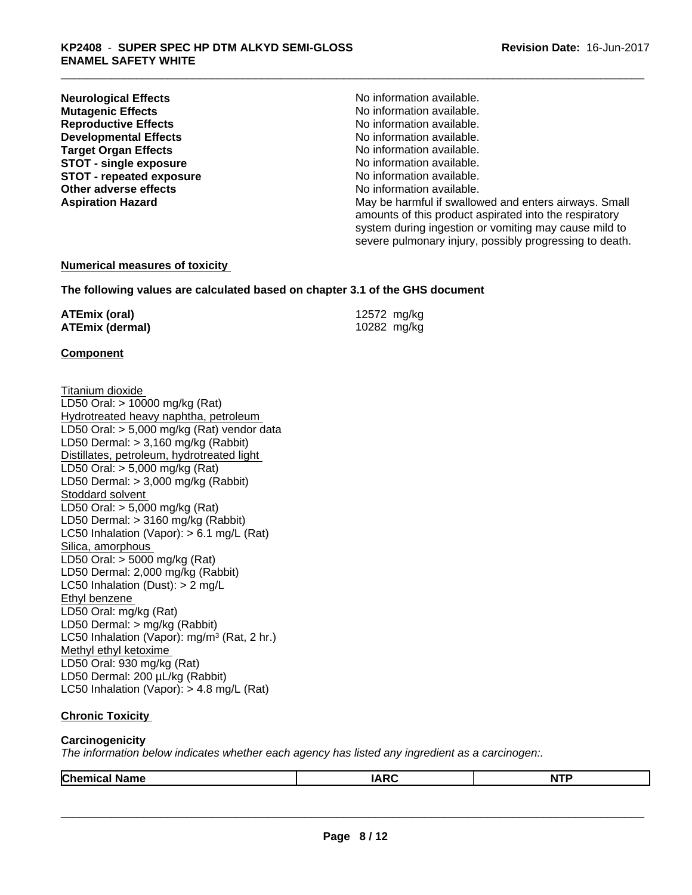**Neurological Effects**<br> **No information available.**<br> **No information available.**<br>
No information available. **Reproductive Effects Developmental Effects** No information available. **Target Organ Effects**<br> **STOT - single exposure**<br>
STOT - single exposure<br>
No information available. **STOT** - single exposure **STOT - repeated exposure notation No** information available. **Other adverse effects** Noinformation available.

No information available.<br>No information available. **Aspiration Hazard** May be harmful if swallowed and enters airways. Small amounts of this product aspirated into the respiratory system during ingestion or vomiting may cause mild to severe pulmonary injury, possibly progressing to death.

# **Numerical measures of toxicity**

**The following values are calculated based on chapter 3.1 of the GHS document**

| ATEmix (oral)          | 12572 mg/kg |
|------------------------|-------------|
| <b>ATEmix (dermal)</b> | 10282 mg/kg |

# **Component**

Titanium dioxide LD50 Oral: > 10000 mg/kg (Rat) Hydrotreated heavy naphtha, petroleum LD50 Oral: > 5,000 mg/kg (Rat) vendor data LD50 Dermal: > 3,160 mg/kg (Rabbit) Distillates, petroleum, hydrotreated light LD50 Oral: > 5,000 mg/kg (Rat) LD50 Dermal: > 3,000 mg/kg (Rabbit) Stoddard solvent LD50 Oral: > 5,000 mg/kg (Rat) LD50 Dermal: > 3160 mg/kg (Rabbit) LC50 Inhalation (Vapor): > 6.1 mg/L (Rat) Silica, amorphous LD50 Oral: > 5000 mg/kg (Rat) LD50 Dermal: 2,000 mg/kg (Rabbit) LC50 Inhalation (Dust): > 2 mg/L Ethyl benzene LD50 Oral: mg/kg (Rat) LD50 Dermal: > mg/kg (Rabbit) LC50 Inhalation (Vapor): mg/m<sup>3</sup> (Rat, 2 hr.) Methyl ethyl ketoxime LD50 Oral: 930 mg/kg (Rat) LD50 Dermal: 200 µL/kg (Rabbit) LC50 Inhalation (Vapor): > 4.8 mg/L (Rat)

# **Chronic Toxicity**

# **Carcinogenicity**

*The information below indicateswhether each agency has listed any ingredient as a carcinogen:.*

| $\sim$<br>.<br>_<br>- --<br>A<br>N<br>. n<br>. |
|------------------------------------------------|
|------------------------------------------------|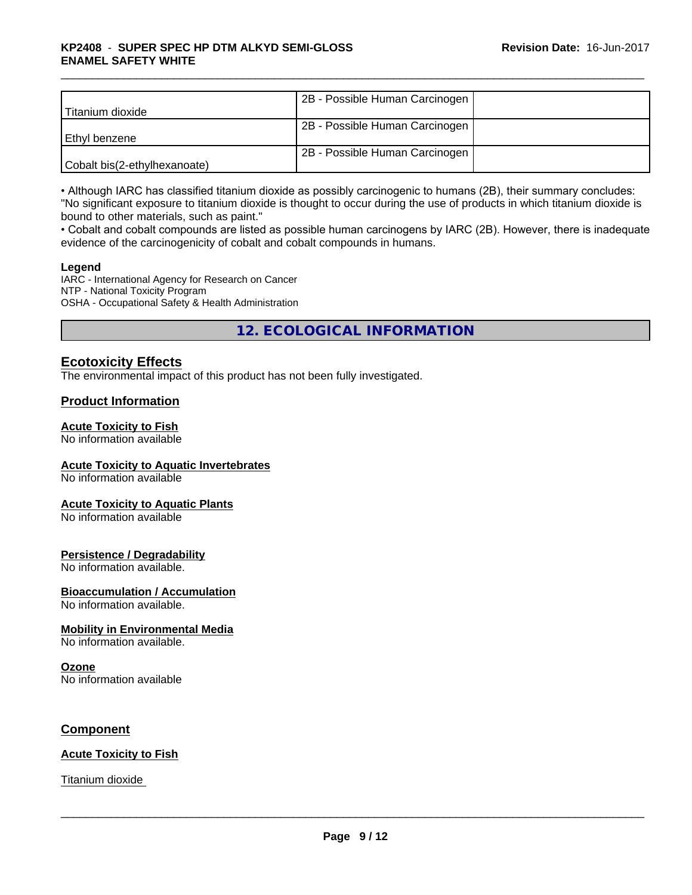|                              | 2B - Possible Human Carcinogen |  |
|------------------------------|--------------------------------|--|
| Titanium dioxide             |                                |  |
|                              | 2B - Possible Human Carcinogen |  |
| l Ethyl benzene              |                                |  |
|                              | 2B - Possible Human Carcinogen |  |
| Cobalt bis(2-ethylhexanoate) |                                |  |

• Although IARC has classified titanium dioxide as possibly carcinogenic to humans (2B), their summary concludes: "No significant exposure to titanium dioxide is thought to occur during the use of products in which titanium dioxide is bound to other materials, such as paint."

• Cobalt and cobalt compounds are listed as possible human carcinogens by IARC (2B). However, there is inadequate evidence of the carcinogenicity of cobalt and cobalt compounds in humans.

# **Legend**

IARC - International Agency for Research on Cancer NTP - National Toxicity Program OSHA - Occupational Safety & Health Administration

**12. ECOLOGICAL INFORMATION**

# **Ecotoxicity Effects**

The environmental impact of this product has not been fully investigated.

# **Product Information**

# **Acute Toxicity to Fish**

No information available

# **Acute Toxicity to Aquatic Invertebrates**

No information available

# **Acute Toxicity to Aquatic Plants**

No information available

# **Persistence / Degradability**

No information available.

# **Bioaccumulation / Accumulation**

No information available.

# **Mobility in Environmental Media**

No information available.

# **Ozone**

No information available

# **Component**

# **Acute Toxicity to Fish**

Titanium dioxide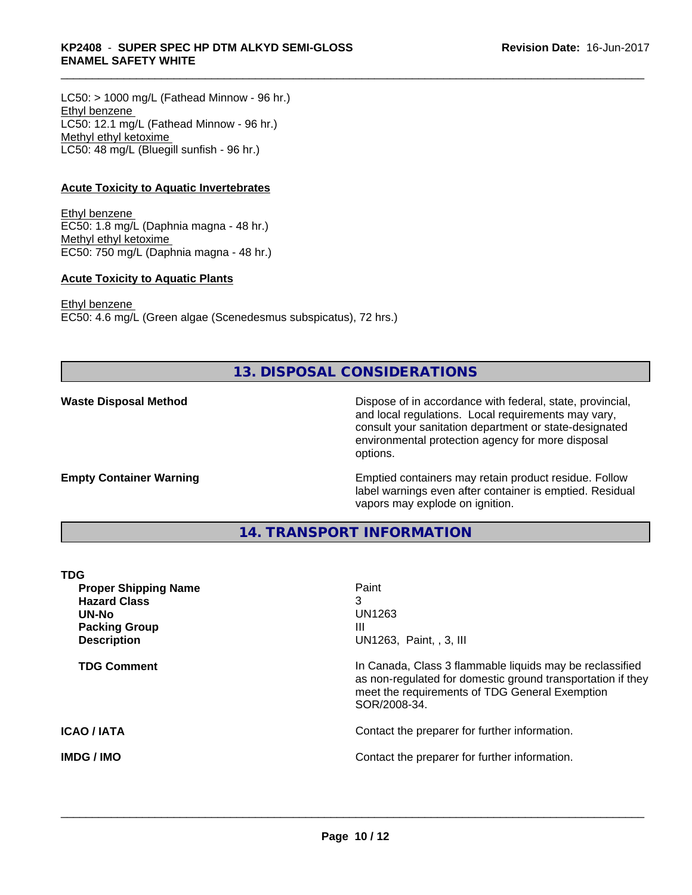# \_\_\_\_\_\_\_\_\_\_\_\_\_\_\_\_\_\_\_\_\_\_\_\_\_\_\_\_\_\_\_\_\_\_\_\_\_\_\_\_\_\_\_\_\_\_\_\_\_\_\_\_\_\_\_\_\_\_\_\_\_\_\_\_\_\_\_\_\_\_\_\_\_\_\_\_\_\_\_\_\_\_\_\_\_\_\_\_\_\_\_\_\_ **KP2408** - **SUPER SPEC HP DTM ALKYD SEMI-GLOSS ENAMEL SAFETY WHITE**

 $LC50:$  > 1000 mg/L (Fathead Minnow - 96 hr.) Ethyl benzene LC50: 12.1 mg/L (Fathead Minnow - 96 hr.) Methyl ethyl ketoxime LC50: 48 mg/L (Bluegill sunfish - 96 hr.)

# **Acute Toxicity to Aquatic Invertebrates**

Ethyl benzene EC50: 1.8 mg/L (Daphnia magna - 48 hr.) Methyl ethyl ketoxime EC50: 750 mg/L (Daphnia magna - 48 hr.)

### **Acute Toxicity to Aquatic Plants**

Ethyl benzene EC50: 4.6 mg/L (Green algae (Scenedesmus subspicatus), 72 hrs.)

**13. DISPOSAL CONSIDERATIONS**

**Waste Disposal Method Dispose of in accordance with federal, state, provincial,** and local regulations. Local requirements may vary, consult your sanitation department or state-designated environmental protection agency for more disposal options.

**Empty Container Warning <b>Emptied** Containers may retain product residue. Follow label warnings even after container is emptied. Residual vapors may explode on ignition.

**14. TRANSPORT INFORMATION**

| <b>TDG</b>                  |                                                                                                                                                                                           |
|-----------------------------|-------------------------------------------------------------------------------------------------------------------------------------------------------------------------------------------|
| <b>Proper Shipping Name</b> | Paint                                                                                                                                                                                     |
| <b>Hazard Class</b>         | 3                                                                                                                                                                                         |
| UN-No                       | UN1263                                                                                                                                                                                    |
| <b>Packing Group</b>        | Ш                                                                                                                                                                                         |
| <b>Description</b>          | UN1263, Paint, , 3, III                                                                                                                                                                   |
| <b>TDG Comment</b>          | In Canada, Class 3 flammable liquids may be reclassified<br>as non-regulated for domestic ground transportation if they<br>meet the requirements of TDG General Exemption<br>SOR/2008-34. |
| <b>ICAO/IATA</b>            | Contact the preparer for further information.                                                                                                                                             |
| <b>IMDG / IMO</b>           | Contact the preparer for further information.                                                                                                                                             |
|                             |                                                                                                                                                                                           |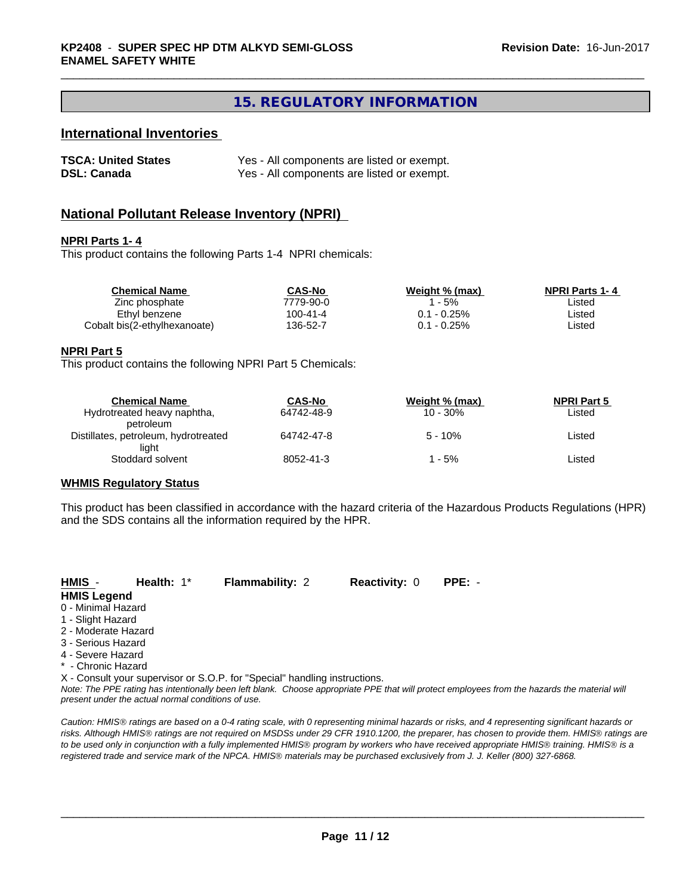# **15. REGULATORY INFORMATION**

# **International Inventories**

| <b>TSCA: United States</b> | Yes - All components are listed or exempt. |
|----------------------------|--------------------------------------------|
| <b>DSL: Canada</b>         | Yes - All components are listed or exempt. |

# **National Pollutant Release Inventory (NPRI)**

### **NPRI Parts 1- 4**

This product contains the following Parts 1-4 NPRI chemicals:

| <b>Chemical Name</b>         | <b>CAS-No</b>  | Weight % (max) | <b>NPRI Parts 1-4</b> |
|------------------------------|----------------|----------------|-----------------------|
| Zinc phosphate               | 7779-90-0      | - 5%           | Listed                |
| Ethyl benzene                | $100 - 41 - 4$ | 0.1 - 0.25%    | Listed                |
| Cobalt bis(2-ethylhexanoate) | 136-52-7       | 0.1 - 0.25%    | Listed                |

### **NPRI Part 5**

This product contains the following NPRI Part 5 Chemicals:

| <b>Chemical Name</b>                 | <b>CAS-No</b> | Weight % (max) | <b>NPRI Part 5</b> |  |
|--------------------------------------|---------------|----------------|--------------------|--|
| Hydrotreated heavy naphtha,          | 64742-48-9    | $10 - 30%$     | Listed             |  |
| petroleum                            |               |                |                    |  |
| Distillates, petroleum, hydrotreated | 64742-47-8    | $5 - 10%$      | Listed             |  |
| light                                |               |                |                    |  |
| Stoddard solvent                     | 8052-41-3     | - 5%           | ∟isted             |  |

### **WHMIS Regulatory Status**

This product has been classified in accordance with the hazard criteria of the Hazardous Products Regulations (HPR) and the SDS contains all the information required by the HPR.

| HMIS -              | Health: $1^*$ | <b>Flammability: 2</b> | <b>Reactivity: 0</b> | $PPE: -$ |  |
|---------------------|---------------|------------------------|----------------------|----------|--|
| <b>HMIS Legend</b>  |               |                        |                      |          |  |
| 0 - Minimal Hazard  |               |                        |                      |          |  |
| 1 - Slight Hazard   |               |                        |                      |          |  |
| 2 - Moderate Hazard |               |                        |                      |          |  |
| 3 - Serious Hazard  |               |                        |                      |          |  |
|                     |               |                        |                      |          |  |

4 - Severe Hazard - Chronic Hazard

X - Consult your supervisor or S.O.P. for "Special" handling instructions.

*Note: The PPE rating has intentionally been left blank. Choose appropriate PPE that will protect employees from the hazards the material will present under the actual normal conditions of use.*

*Caution: HMISÒ ratings are based on a 0-4 rating scale, with 0 representing minimal hazards or risks, and 4 representing significant hazards or risks. Although HMISÒ ratings are not required on MSDSs under 29 CFR 1910.1200, the preparer, has chosen to provide them. HMISÒ ratings are to be used only in conjunction with a fully implemented HMISÒ program by workers who have received appropriate HMISÒ training. HMISÒ is a registered trade and service mark of the NPCA. HMISÒ materials may be purchased exclusively from J. J. Keller (800) 327-6868.*